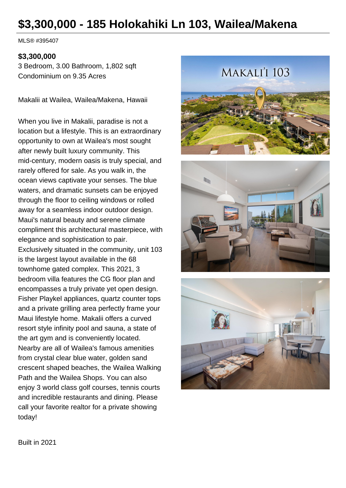# **\$3,300,000 - 185 Holokahiki Ln 103, Wailea/Makena**

MLS® #395407

#### **\$3,300,000**

3 Bedroom, 3.00 Bathroom, 1,802 sqft Condominium on 9.35 Acres

Makalii at Wailea, Wailea/Makena, Hawaii

When you live in Makalii, paradise is not a location but a lifestyle. This is an extraordinary opportunity to own at Wailea's most sought after newly built luxury community. This mid-century, modern oasis is truly special, and rarely offered for sale. As you walk in, the ocean views captivate your senses. The blue waters, and dramatic sunsets can be enjoyed through the floor to ceiling windows or rolled away for a seamless indoor outdoor design. Maui's natural beauty and serene climate compliment this architectural masterpiece, with elegance and sophistication to pair. Exclusively situated in the community, unit 103 is the largest layout available in the 68 townhome gated complex. This 2021, 3 bedroom villa features the CG floor plan and encompasses a truly private yet open design. Fisher Playkel appliances, quartz counter tops and a private grilling area perfectly frame your Maui lifestyle home. Makalii offers a curved resort style infinity pool and sauna, a state of the art gym and is conveniently located. Nearby are all of Wailea's famous amenities from crystal clear blue water, golden sand crescent shaped beaches, the Wailea Walking Path and the Wailea Shops. You can also enjoy 3 world class golf courses, tennis courts and incredible restaurants and dining. Please call your favorite realtor for a private showing today!







Built in 2021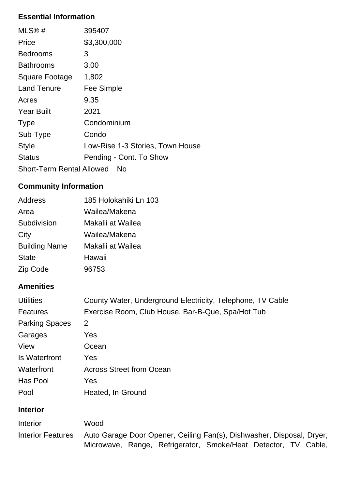### **Essential Information**

| MLS@#                            | 395407                           |
|----------------------------------|----------------------------------|
| Price                            | \$3,300,000                      |
| Bedrooms                         | 3                                |
| Bathrooms                        | 3.00                             |
| Square Footage                   | 1,802                            |
| <b>Land Tenure</b>               | Fee Simple                       |
| Acres                            | 9.35                             |
| <b>Year Built</b>                | 2021                             |
| <b>Type</b>                      | Condominium                      |
| Sub-Type                         | Condo                            |
| <b>Style</b>                     | Low-Rise 1-3 Stories, Town House |
| <b>Status</b>                    | Pending - Cont. To Show          |
| <b>Short-Term Rental Allowed</b> | No                               |

## **Community Information**

| Address              | 185 Holokahiki Ln 103 |
|----------------------|-----------------------|
| Area                 | Wailea/Makena         |
| Subdivision          | Makalii at Wailea     |
| City                 | Wailea/Makena         |
| <b>Building Name</b> | Makalii at Wailea     |
| <b>State</b>         | Hawaii                |
| Zip Code             | 96753                 |

## **Amenities**

| <b>Utilities</b>      | County Water, Underground Electricity, Telephone, TV Cable |
|-----------------------|------------------------------------------------------------|
| <b>Features</b>       | Exercise Room, Club House, Bar-B-Que, Spa/Hot Tub          |
| <b>Parking Spaces</b> | 2                                                          |
| Garages               | Yes                                                        |
| View                  | Ocean                                                      |
| Is Waterfront         | Yes                                                        |
| Waterfront            | <b>Across Street from Ocean</b>                            |
| Has Pool              | Yes                                                        |
| Pool                  | Heated, In-Ground                                          |

### **Interior**

| Interior                 | Wood |                                                                       |  |  |
|--------------------------|------|-----------------------------------------------------------------------|--|--|
| <b>Interior Features</b> |      | Auto Garage Door Opener, Ceiling Fan(s), Dishwasher, Disposal, Dryer, |  |  |
|                          |      | Microwave, Range, Refrigerator, Smoke/Heat Detector, TV Cable,        |  |  |